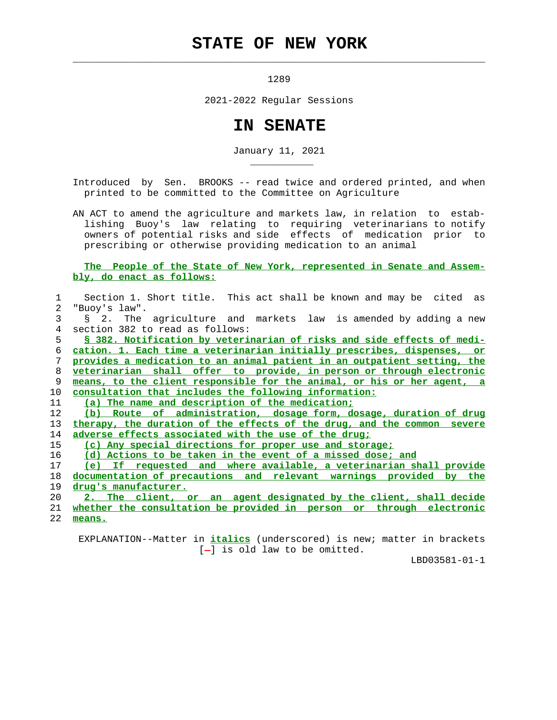## **STATE OF NEW YORK**

 $\mathcal{L}_\text{max} = \frac{1}{2} \sum_{i=1}^{n} \frac{1}{2} \sum_{i=1}^{n} \frac{1}{2} \sum_{i=1}^{n} \frac{1}{2} \sum_{i=1}^{n} \frac{1}{2} \sum_{i=1}^{n} \frac{1}{2} \sum_{i=1}^{n} \frac{1}{2} \sum_{i=1}^{n} \frac{1}{2} \sum_{i=1}^{n} \frac{1}{2} \sum_{i=1}^{n} \frac{1}{2} \sum_{i=1}^{n} \frac{1}{2} \sum_{i=1}^{n} \frac{1}{2} \sum_{i=1}^{n} \frac{1$ 

\_\_\_\_\_\_\_\_\_\_\_

1289

2021-2022 Regular Sessions

## **IN SENATE**

January 11, 2021

 Introduced by Sen. BROOKS -- read twice and ordered printed, and when printed to be committed to the Committee on Agriculture

 AN ACT to amend the agriculture and markets law, in relation to estab lishing Buoy's law relating to requiring veterinarians to notify owners of potential risks and side effects of medication prior to prescribing or otherwise providing medication to an animal

## **The People of the State of New York, represented in Senate and Assem bly, do enact as follows:**

 1 Section 1. Short title. This act shall be known and may be cited as 2 "Buoy's law". 3 § 2. The agriculture and markets law is amended by adding a new 4 section 382 to read as follows: **§ 382. Notification by veterinarian of risks and side effects of medi- cation. 1. Each time a veterinarian initially prescribes, dispenses, or provides a medication to an animal patient in an outpatient setting, the veterinarian shall offer to provide, in person or through electronic means, to the client responsible for the animal, or his or her agent, a consultation that includes the following information: (a) The name and description of the medication; (b) Route of administration, dosage form, dosage, duration of drug therapy, the duration of the effects of the drug, and the common severe adverse effects associated with the use of the drug; (c) Any special directions for proper use and storage; (d) Actions to be taken in the event of a missed dose; and (e) If requested and where available, a veterinarian shall provide documentation of precautions and relevant warnings provided by the drug's manufacturer. 2. The client, or an agent designated by the client, shall decide whether the consultation be provided in person or through electronic** 22 **means.**

 EXPLANATION--Matter in **italics** (underscored) is new; matter in brackets  $[-]$  is old law to be omitted.

LBD03581-01-1